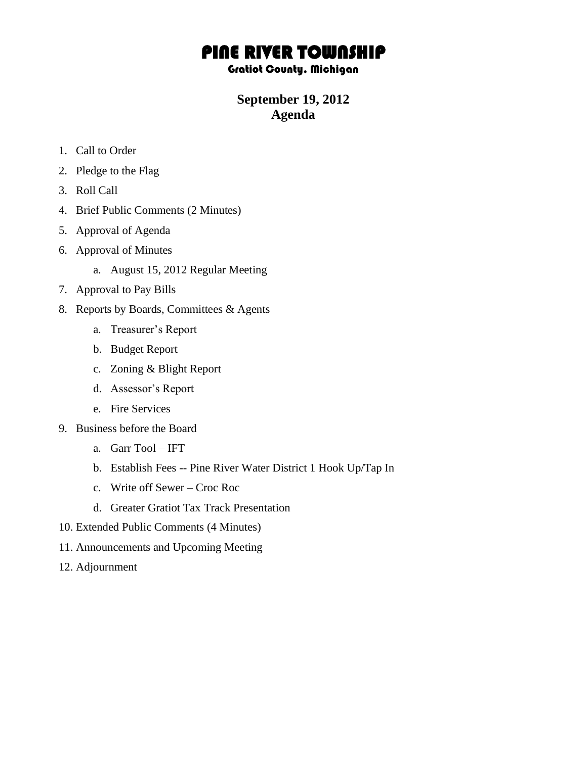# PINE RIVER TOWNSHIP

#### Gratiot County, Michigan

### **September 19, 2012 Agenda**

- 1. Call to Order
- 2. Pledge to the Flag
- 3. Roll Call
- 4. Brief Public Comments (2 Minutes)
- 5. Approval of Agenda
- 6. Approval of Minutes
	- a. August 15, 2012 Regular Meeting
- 7. Approval to Pay Bills
- 8. Reports by Boards, Committees & Agents
	- a. Treasurer's Report
	- b. Budget Report
	- c. Zoning & Blight Report
	- d. Assessor's Report
	- e. Fire Services
- 9. Business before the Board
	- a. Garr Tool IFT
	- b. Establish Fees -- Pine River Water District 1 Hook Up/Tap In
	- c. Write off Sewer Croc Roc
	- d. Greater Gratiot Tax Track Presentation
- 10. Extended Public Comments (4 Minutes)
- 11. Announcements and Upcoming Meeting
- 12. Adjournment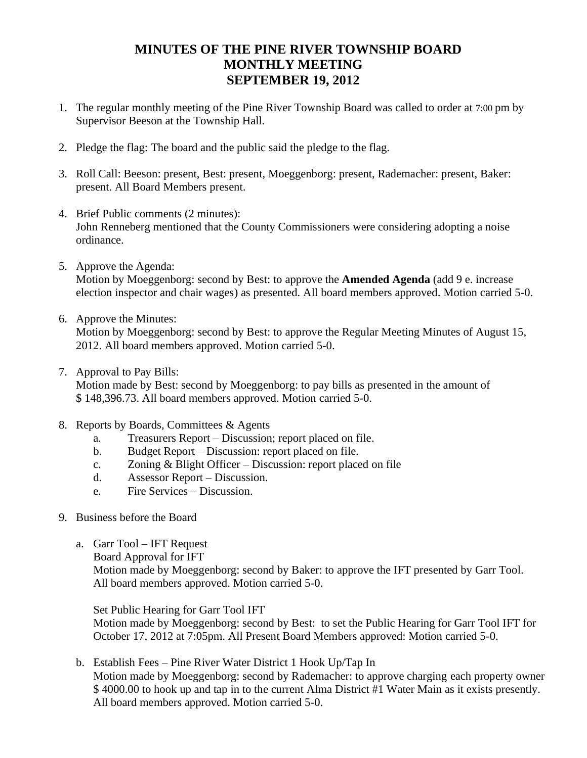## **MINUTES OF THE PINE RIVER TOWNSHIP BOARD MONTHLY MEETING SEPTEMBER 19, 2012**

- 1. The regular monthly meeting of the Pine River Township Board was called to order at 7:00 pm by Supervisor Beeson at the Township Hall.
- 2. Pledge the flag: The board and the public said the pledge to the flag.
- 3. Roll Call: Beeson: present, Best: present, Moeggenborg: present, Rademacher: present, Baker: present. All Board Members present.
- 4. Brief Public comments (2 minutes): John Renneberg mentioned that the County Commissioners were considering adopting a noise ordinance.
- 5. Approve the Agenda:

Motion by Moeggenborg: second by Best: to approve the **Amended Agenda** (add 9 e. increase election inspector and chair wages) as presented. All board members approved. Motion carried 5-0.

6. Approve the Minutes:

Motion by Moeggenborg: second by Best: to approve the Regular Meeting Minutes of August 15, 2012. All board members approved. Motion carried 5-0.

7. Approval to Pay Bills:

Motion made by Best: second by Moeggenborg: to pay bills as presented in the amount of \$ 148,396.73. All board members approved. Motion carried 5-0.

- 8. Reports by Boards, Committees & Agents
	- a. Treasurers Report Discussion; report placed on file.
	- b. Budget Report Discussion: report placed on file.
	- c. Zoning & Blight Officer Discussion: report placed on file
	- d. Assessor Report Discussion.
	- e. Fire Services Discussion.
- 9. Business before the Board
	- a. Garr Tool IFT Request Board Approval for IFT Motion made by Moeggenborg: second by Baker: to approve the IFT presented by Garr Tool. All board members approved. Motion carried 5-0.

Set Public Hearing for Garr Tool IFT

Motion made by Moeggenborg: second by Best: to set the Public Hearing for Garr Tool IFT for October 17, 2012 at 7:05pm. All Present Board Members approved: Motion carried 5-0.

b. Establish Fees – Pine River Water District 1 Hook Up/Tap In Motion made by Moeggenborg: second by Rademacher: to approve charging each property owner \$ 4000.00 to hook up and tap in to the current Alma District #1 Water Main as it exists presently. All board members approved. Motion carried 5-0.